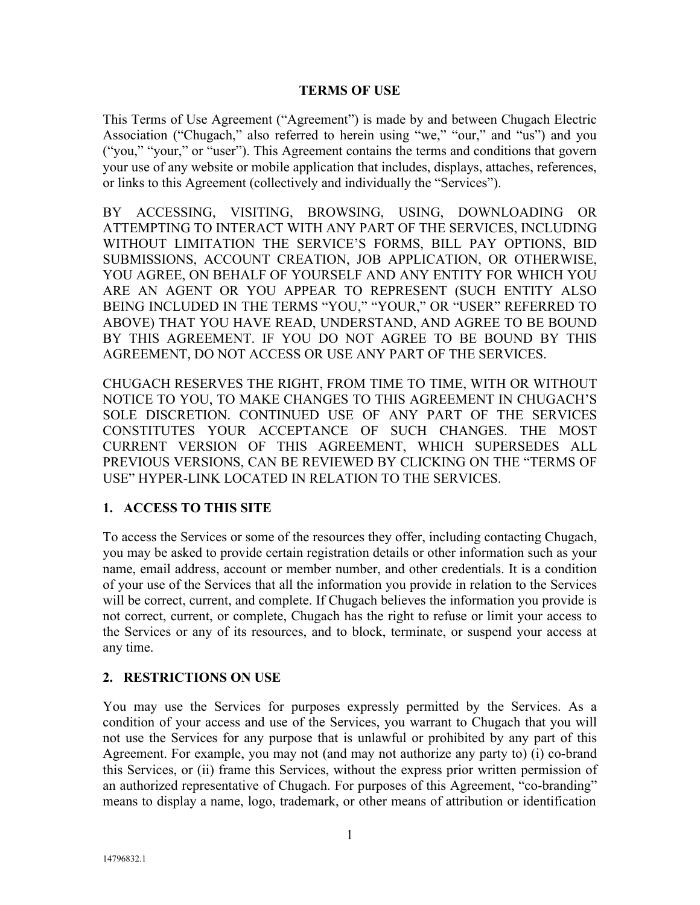#### **TERMS OF USE**

This Terms of Use Agreement ("Agreement") is made by and between Chugach Electric Association ("Chugach," also referred to herein using "we," "our," and "us") and you ("you," "your," or "user"). This Agreement contains the terms and conditions that govern your use of any website or mobile application that includes, displays, attaches, references, or links to this Agreement (collectively and individually the "Services").

BY ACCESSING, VISITING, BROWSING, USING, DOWNLOADING OR ATTEMPTING TO INTERACT WITH ANY PART OF THE SERVICES, INCLUDING WITHOUT LIMITATION THE SERVICE'S FORMS, BILL PAY OPTIONS, BID SUBMISSIONS, ACCOUNT CREATION, JOB APPLICATION, OR OTHERWISE, YOU AGREE, ON BEHALF OF YOURSELF AND ANY ENTITY FOR WHICH YOU ARE AN AGENT OR YOU APPEAR TO REPRESENT (SUCH ENTITY ALSO BEING INCLUDED IN THE TERMS "YOU," "YOUR," OR "USER" REFERRED TO ABOVE) THAT YOU HAVE READ, UNDERSTAND, AND AGREE TO BE BOUND BY THIS AGREEMENT. IF YOU DO NOT AGREE TO BE BOUND BY THIS AGREEMENT, DO NOT ACCESS OR USE ANY PART OF THE SERVICES.

CHUGACH RESERVES THE RIGHT, FROM TIME TO TIME, WITH OR WITHOUT NOTICE TO YOU, TO MAKE CHANGES TO THIS AGREEMENT IN CHUGACH'S SOLE DISCRETION. CONTINUED USE OF ANY PART OF THE SERVICES CONSTITUTES YOUR ACCEPTANCE OF SUCH CHANGES. THE MOST CURRENT VERSION OF THIS AGREEMENT, WHICH SUPERSEDES ALL PREVIOUS VERSIONS, CAN BE REVIEWED BY CLICKING ON THE "TERMS OF USE" HYPER-LINK LOCATED IN RELATION TO THE SERVICES.

## **1. ACCESS TO THIS SITE**

To access the Services or some of the resources they offer, including contacting Chugach, you may be asked to provide certain registration details or other information such as your name, email address, account or member number, and other credentials. It is a condition of your use of the Services that all the information you provide in relation to the Services will be correct, current, and complete. If Chugach believes the information you provide is not correct, current, or complete, Chugach has the right to refuse or limit your access to the Services or any of its resources, and to block, terminate, or suspend your access at any time.

## **2. RESTRICTIONS ON USE**

You may use the Services for purposes expressly permitted by the Services. As a condition of your access and use of the Services, you warrant to Chugach that you will not use the Services for any purpose that is unlawful or prohibited by any part of this Agreement. For example, you may not (and may not authorize any party to) (i) co-brand this Services, or (ii) frame this Services, without the express prior written permission of an authorized representative of Chugach. For purposes of this Agreement, "co-branding" means to display a name, logo, trademark, or other means of attribution or identification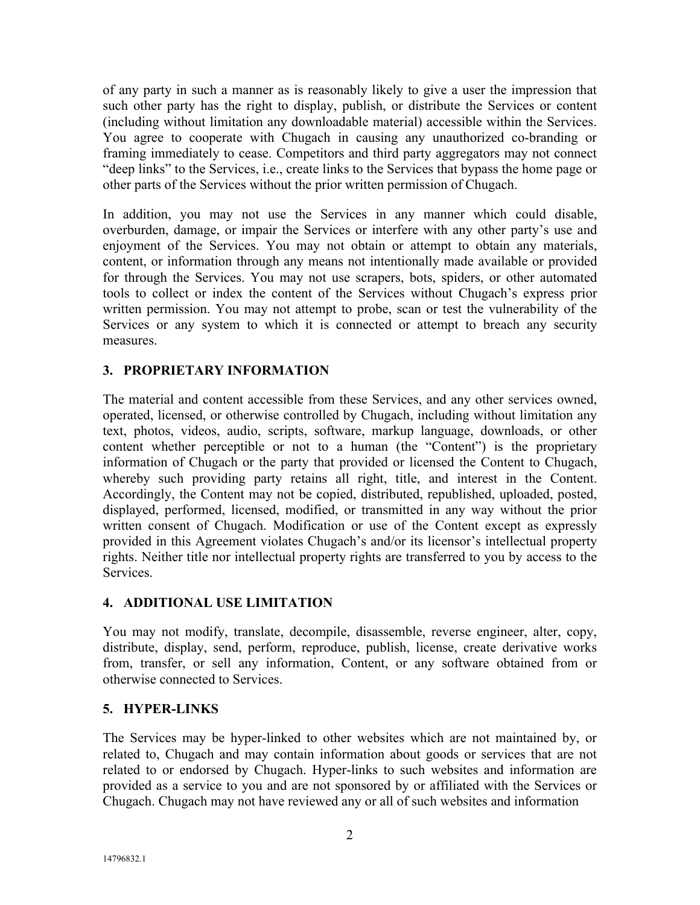of any party in such a manner as is reasonably likely to give a user the impression that such other party has the right to display, publish, or distribute the Services or content (including without limitation any downloadable material) accessible within the Services. You agree to cooperate with Chugach in causing any unauthorized co-branding or framing immediately to cease. Competitors and third party aggregators may not connect "deep links" to the Services, i.e., create links to the Services that bypass the home page or other parts of the Services without the prior written permission of Chugach.

In addition, you may not use the Services in any manner which could disable, overburden, damage, or impair the Services or interfere with any other party's use and enjoyment of the Services. You may not obtain or attempt to obtain any materials, content, or information through any means not intentionally made available or provided for through the Services. You may not use scrapers, bots, spiders, or other automated tools to collect or index the content of the Services without Chugach's express prior written permission. You may not attempt to probe, scan or test the vulnerability of the Services or any system to which it is connected or attempt to breach any security measures.

# **3. PROPRIETARY INFORMATION**

The material and content accessible from these Services, and any other services owned, operated, licensed, or otherwise controlled by Chugach, including without limitation any text, photos, videos, audio, scripts, software, markup language, downloads, or other content whether perceptible or not to a human (the "Content") is the proprietary information of Chugach or the party that provided or licensed the Content to Chugach, whereby such providing party retains all right, title, and interest in the Content. Accordingly, the Content may not be copied, distributed, republished, uploaded, posted, displayed, performed, licensed, modified, or transmitted in any way without the prior written consent of Chugach. Modification or use of the Content except as expressly provided in this Agreement violates Chugach's and/or its licensor's intellectual property rights. Neither title nor intellectual property rights are transferred to you by access to the Services.

## **4. ADDITIONAL USE LIMITATION**

You may not modify, translate, decompile, disassemble, reverse engineer, alter, copy, distribute, display, send, perform, reproduce, publish, license, create derivative works from, transfer, or sell any information, Content, or any software obtained from or otherwise connected to Services.

## **5. HYPER-LINKS**

The Services may be hyper-linked to other websites which are not maintained by, or related to, Chugach and may contain information about goods or services that are not related to or endorsed by Chugach. Hyper-links to such websites and information are provided as a service to you and are not sponsored by or affiliated with the Services or Chugach. Chugach may not have reviewed any or all of such websites and information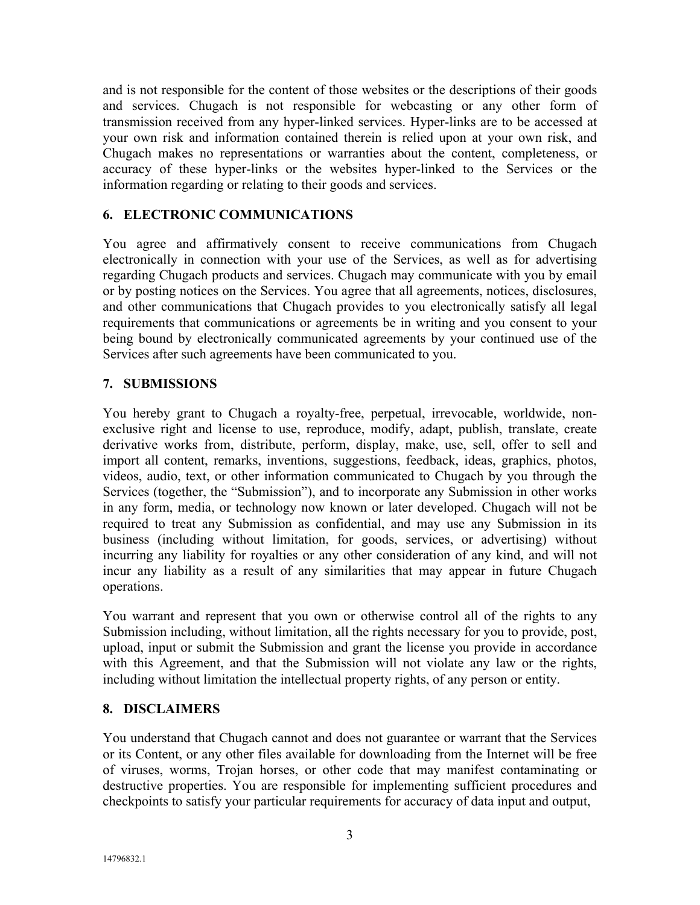and is not responsible for the content of those websites or the descriptions of their goods and services. Chugach is not responsible for webcasting or any other form of transmission received from any hyper-linked services. Hyper-links are to be accessed at your own risk and information contained therein is relied upon at your own risk, and Chugach makes no representations or warranties about the content, completeness, or accuracy of these hyper-links or the websites hyper-linked to the Services or the information regarding or relating to their goods and services.

### **6. ELECTRONIC COMMUNICATIONS**

You agree and affirmatively consent to receive communications from Chugach electronically in connection with your use of the Services, as well as for advertising regarding Chugach products and services. Chugach may communicate with you by email or by posting notices on the Services. You agree that all agreements, notices, disclosures, and other communications that Chugach provides to you electronically satisfy all legal requirements that communications or agreements be in writing and you consent to your being bound by electronically communicated agreements by your continued use of the Services after such agreements have been communicated to you.

#### **7. SUBMISSIONS**

You hereby grant to Chugach a royalty-free, perpetual, irrevocable, worldwide, nonexclusive right and license to use, reproduce, modify, adapt, publish, translate, create derivative works from, distribute, perform, display, make, use, sell, offer to sell and import all content, remarks, inventions, suggestions, feedback, ideas, graphics, photos, videos, audio, text, or other information communicated to Chugach by you through the Services (together, the "Submission"), and to incorporate any Submission in other works in any form, media, or technology now known or later developed. Chugach will not be required to treat any Submission as confidential, and may use any Submission in its business (including without limitation, for goods, services, or advertising) without incurring any liability for royalties or any other consideration of any kind, and will not incur any liability as a result of any similarities that may appear in future Chugach operations.

You warrant and represent that you own or otherwise control all of the rights to any Submission including, without limitation, all the rights necessary for you to provide, post, upload, input or submit the Submission and grant the license you provide in accordance with this Agreement, and that the Submission will not violate any law or the rights, including without limitation the intellectual property rights, of any person or entity.

#### **8. DISCLAIMERS**

You understand that Chugach cannot and does not guarantee or warrant that the Services or its Content, or any other files available for downloading from the Internet will be free of viruses, worms, Trojan horses, or other code that may manifest contaminating or destructive properties. You are responsible for implementing sufficient procedures and checkpoints to satisfy your particular requirements for accuracy of data input and output,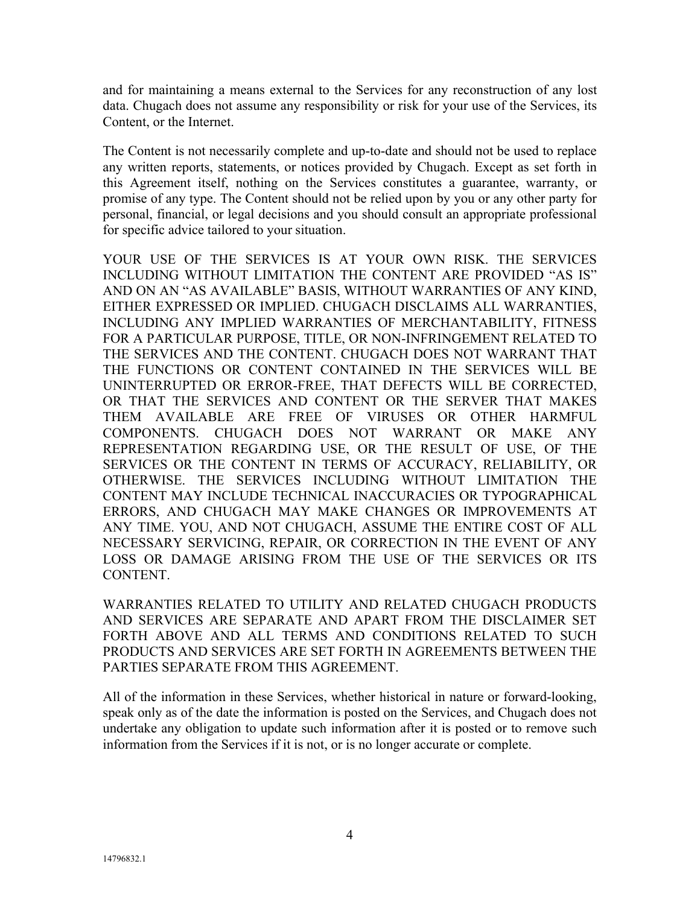and for maintaining a means external to the Services for any reconstruction of any lost data. Chugach does not assume any responsibility or risk for your use of the Services, its Content, or the Internet.

The Content is not necessarily complete and up-to-date and should not be used to replace any written reports, statements, or notices provided by Chugach. Except as set forth in this Agreement itself, nothing on the Services constitutes a guarantee, warranty, or promise of any type. The Content should not be relied upon by you or any other party for personal, financial, or legal decisions and you should consult an appropriate professional for specific advice tailored to your situation.

YOUR USE OF THE SERVICES IS AT YOUR OWN RISK. THE SERVICES INCLUDING WITHOUT LIMITATION THE CONTENT ARE PROVIDED "AS IS" AND ON AN "AS AVAILABLE" BASIS, WITHOUT WARRANTIES OF ANY KIND, EITHER EXPRESSED OR IMPLIED. CHUGACH DISCLAIMS ALL WARRANTIES, INCLUDING ANY IMPLIED WARRANTIES OF MERCHANTABILITY, FITNESS FOR A PARTICULAR PURPOSE, TITLE, OR NON-INFRINGEMENT RELATED TO THE SERVICES AND THE CONTENT. CHUGACH DOES NOT WARRANT THAT THE FUNCTIONS OR CONTENT CONTAINED IN THE SERVICES WILL BE UNINTERRUPTED OR ERROR-FREE, THAT DEFECTS WILL BE CORRECTED, OR THAT THE SERVICES AND CONTENT OR THE SERVER THAT MAKES THEM AVAILABLE ARE FREE OF VIRUSES OR OTHER HARMFUL COMPONENTS. CHUGACH DOES NOT WARRANT OR MAKE ANY REPRESENTATION REGARDING USE, OR THE RESULT OF USE, OF THE SERVICES OR THE CONTENT IN TERMS OF ACCURACY, RELIABILITY, OR OTHERWISE. THE SERVICES INCLUDING WITHOUT LIMITATION THE CONTENT MAY INCLUDE TECHNICAL INACCURACIES OR TYPOGRAPHICAL ERRORS, AND CHUGACH MAY MAKE CHANGES OR IMPROVEMENTS AT ANY TIME. YOU, AND NOT CHUGACH, ASSUME THE ENTIRE COST OF ALL NECESSARY SERVICING, REPAIR, OR CORRECTION IN THE EVENT OF ANY LOSS OR DAMAGE ARISING FROM THE USE OF THE SERVICES OR ITS CONTENT.

WARRANTIES RELATED TO UTILITY AND RELATED CHUGACH PRODUCTS AND SERVICES ARE SEPARATE AND APART FROM THE DISCLAIMER SET FORTH ABOVE AND ALL TERMS AND CONDITIONS RELATED TO SUCH PRODUCTS AND SERVICES ARE SET FORTH IN AGREEMENTS BETWEEN THE PARTIES SEPARATE FROM THIS AGREEMENT.

All of the information in these Services, whether historical in nature or forward-looking, speak only as of the date the information is posted on the Services, and Chugach does not undertake any obligation to update such information after it is posted or to remove such information from the Services if it is not, or is no longer accurate or complete.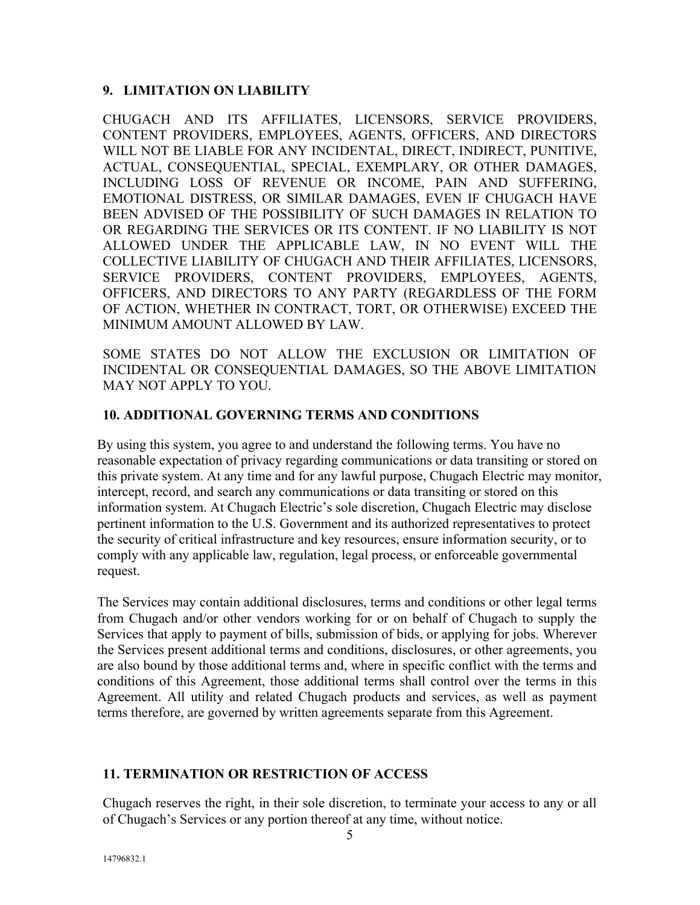### **9. LIMITATION ON LIABILITY**

CHUGACH AND ITS AFFILIATES, LICENSORS, SERVICE PROVIDERS, CONTENT PROVIDERS, EMPLOYEES, AGENTS, OFFICERS, AND DIRECTORS WILL NOT BE LIABLE FOR ANY INCIDENTAL, DIRECT, INDIRECT, PUNITIVE, ACTUAL, CONSEQUENTIAL, SPECIAL, EXEMPLARY, OR OTHER DAMAGES, INCLUDING LOSS OF REVENUE OR INCOME, PAIN AND SUFFERING, EMOTIONAL DISTRESS, OR SIMILAR DAMAGES, EVEN IF CHUGACH HAVE BEEN ADVISED OF THE POSSIBILITY OF SUCH DAMAGES IN RELATION TO OR REGARDING THE SERVICES OR ITS CONTENT. IF NO LIABILITY IS NOT ALLOWED UNDER THE APPLICABLE LAW, IN NO EVENT WILL THE COLLECTIVE LIABILITY OF CHUGACH AND THEIR AFFILIATES, LICENSORS, SERVICE PROVIDERS, CONTENT PROVIDERS, EMPLOYEES, AGENTS, OFFICERS, AND DIRECTORS TO ANY PARTY (REGARDLESS OF THE FORM OF ACTION, WHETHER IN CONTRACT, TORT, OR OTHERWISE) EXCEED THE MINIMUM AMOUNT ALLOWED BY LAW.

SOME STATES DO NOT ALLOW THE EXCLUSION OR LIMITATION OF INCIDENTAL OR CONSEQUENTIAL DAMAGES, SO THE ABOVE LIMITATION MAY NOT APPLY TO YOU.

### **10. ADDITIONAL GOVERNING TERMS AND CONDITIONS**

By using this system, you agree to and understand the following terms. You have no reasonable expectation of privacy regarding communications or data transiting or stored on this private system. At any time and for any lawful purpose, Chugach Electric may monitor, intercept, record, and search any communications or data transiting or stored on this information system. At Chugach Electric's sole discretion, Chugach Electric may disclose pertinent information to the U.S. Government and its authorized representatives to protect the security of critical infrastructure and key resources, ensure information security, or to comply with any applicable law, regulation, legal process, or enforceable governmental request.

The Services may contain additional disclosures, terms and conditions or other legal terms from Chugach and/or other vendors working for or on behalf of Chugach to supply the Services that apply to payment of bills, submission of bids, or applying for jobs. Wherever the Services present additional terms and conditions, disclosures, or other agreements, you are also bound by those additional terms and, where in specific conflict with the terms and conditions of this Agreement, those additional terms shall control over the terms in this Agreement. All utility and related Chugach products and services, as well as payment terms therefore, are governed by written agreements separate from this Agreement.

## **11. TERMINATION OR RESTRICTION OF ACCESS**

Chugach reserves the right, in their sole discretion, to terminate your access to any or all of Chugach's Services or any portion thereof at any time, without notice.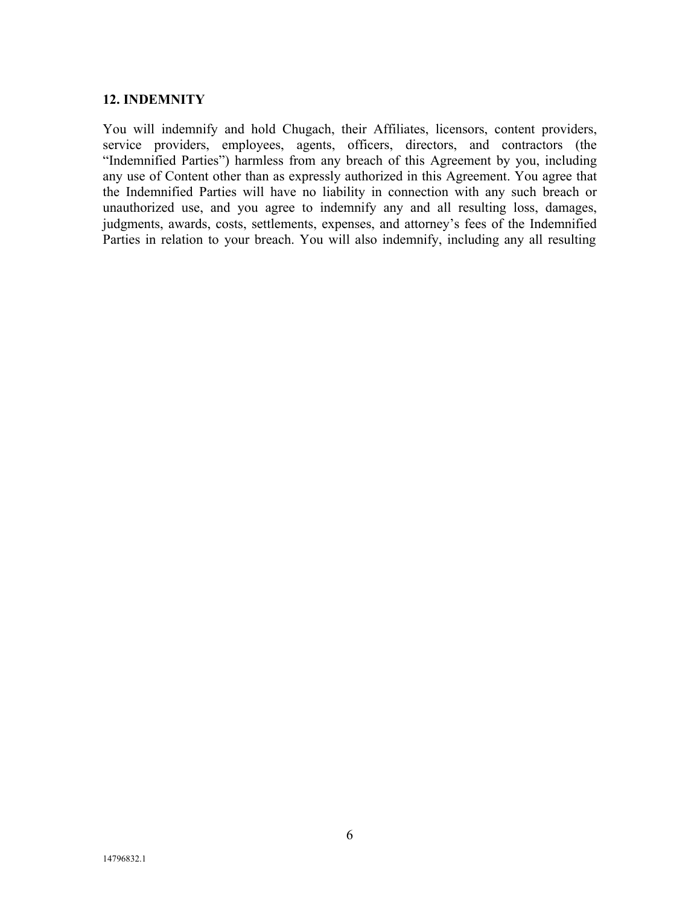#### **12. INDEMNITY**

You will indemnify and hold Chugach, their Affiliates, licensors, content providers, service providers, employees, agents, officers, directors, and contractors (the "Indemnified Parties") harmless from any breach of this Agreement by you, including any use of Content other than as expressly authorized in this Agreement. You agree that the Indemnified Parties will have no liability in connection with any such breach or unauthorized use, and you agree to indemnify any and all resulting loss, damages, judgments, awards, costs, settlements, expenses, and attorney's fees of the Indemnified Parties in relation to your breach. You will also indemnify, including any all resulting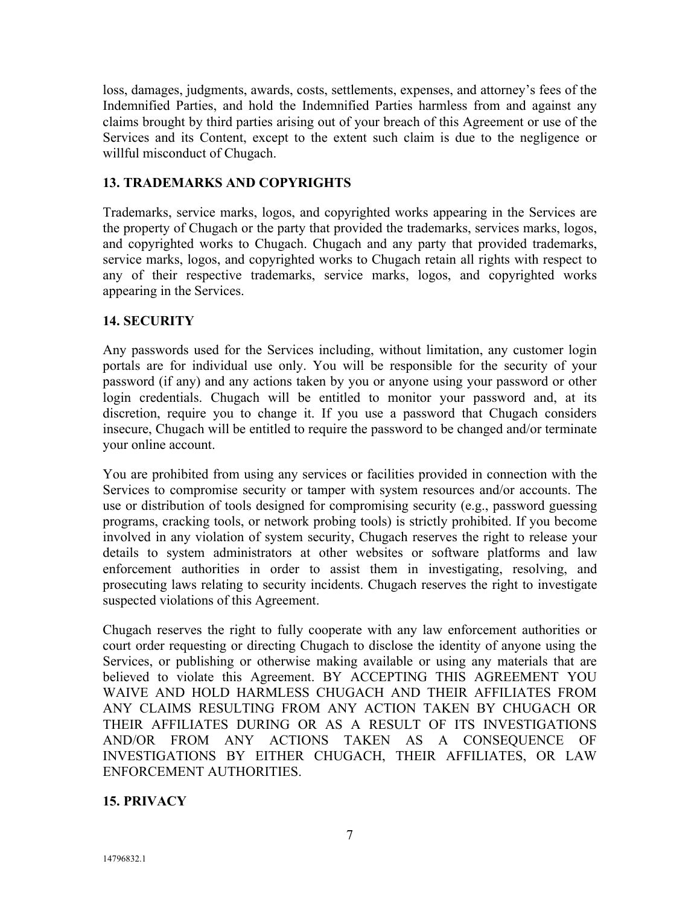loss, damages, judgments, awards, costs, settlements, expenses, and attorney's fees of the Indemnified Parties, and hold the Indemnified Parties harmless from and against any claims brought by third parties arising out of your breach of this Agreement or use of the Services and its Content, except to the extent such claim is due to the negligence or willful misconduct of Chugach.

# **13. TRADEMARKS AND COPYRIGHTS**

Trademarks, service marks, logos, and copyrighted works appearing in the Services are the property of Chugach or the party that provided the trademarks, services marks, logos, and copyrighted works to Chugach. Chugach and any party that provided trademarks, service marks, logos, and copyrighted works to Chugach retain all rights with respect to any of their respective trademarks, service marks, logos, and copyrighted works appearing in the Services.

## **14. SECURITY**

Any passwords used for the Services including, without limitation, any customer login portals are for individual use only. You will be responsible for the security of your password (if any) and any actions taken by you or anyone using your password or other login credentials. Chugach will be entitled to monitor your password and, at its discretion, require you to change it. If you use a password that Chugach considers insecure, Chugach will be entitled to require the password to be changed and/or terminate your online account.

You are prohibited from using any services or facilities provided in connection with the Services to compromise security or tamper with system resources and/or accounts. The use or distribution of tools designed for compromising security (e.g., password guessing programs, cracking tools, or network probing tools) is strictly prohibited. If you become involved in any violation of system security, Chugach reserves the right to release your details to system administrators at other websites or software platforms and law enforcement authorities in order to assist them in investigating, resolving, and prosecuting laws relating to security incidents. Chugach reserves the right to investigate suspected violations of this Agreement.

Chugach reserves the right to fully cooperate with any law enforcement authorities or court order requesting or directing Chugach to disclose the identity of anyone using the Services, or publishing or otherwise making available or using any materials that are believed to violate this Agreement. BY ACCEPTING THIS AGREEMENT YOU WAIVE AND HOLD HARMLESS CHUGACH AND THEIR AFFILIATES FROM ANY CLAIMS RESULTING FROM ANY ACTION TAKEN BY CHUGACH OR THEIR AFFILIATES DURING OR AS A RESULT OF ITS INVESTIGATIONS AND/OR FROM ANY ACTIONS TAKEN AS A CONSEQUENCE OF INVESTIGATIONS BY EITHER CHUGACH, THEIR AFFILIATES, OR LAW ENFORCEMENT AUTHORITIES.

## **15. PRIVACY**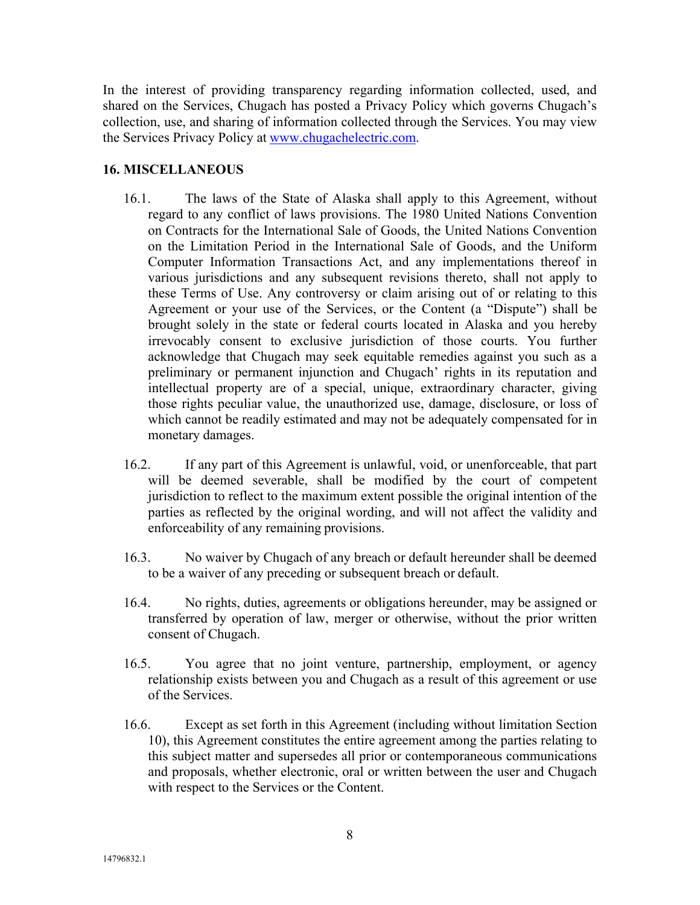In the interest of providing transparency regarding information collected, used, and shared on the Services, Chugach has posted a Privacy Policy which governs Chugach's collection, use, and sharing of information collected through the Services. You may view the Services Privacy Policy at www.chugachelectric.com.

### **16. MISCELLANEOUS**

- 16.1. The laws of the State of Alaska shall apply to this Agreement, without regard to any conflict of laws provisions. The 1980 United Nations Convention on Contracts for the International Sale of Goods, the United Nations Convention on the Limitation Period in the International Sale of Goods, and the Uniform Computer Information Transactions Act, and any implementations thereof in various jurisdictions and any subsequent revisions thereto, shall not apply to these Terms of Use. Any controversy or claim arising out of or relating to this Agreement or your use of the Services, or the Content (a "Dispute") shall be brought solely in the state or federal courts located in Alaska and you hereby irrevocably consent to exclusive jurisdiction of those courts. You further acknowledge that Chugach may seek equitable remedies against you such as a preliminary or permanent injunction and Chugach' rights in its reputation and intellectual property are of a special, unique, extraordinary character, giving those rights peculiar value, the unauthorized use, damage, disclosure, or loss of which cannot be readily estimated and may not be adequately compensated for in monetary damages.
- 16.2. If any part of this Agreement is unlawful, void, or unenforceable, that part will be deemed severable, shall be modified by the court of competent jurisdiction to reflect to the maximum extent possible the original intention of the parties as reflected by the original wording, and will not affect the validity and enforceability of any remaining provisions.
- 16.3. No waiver by Chugach of any breach or default hereunder shall be deemed to be a waiver of any preceding or subsequent breach or default.
- 16.4. No rights, duties, agreements or obligations hereunder, may be assigned or transferred by operation of law, merger or otherwise, without the prior written consent of Chugach.
- 16.5. You agree that no joint venture, partnership, employment, or agency relationship exists between you and Chugach as a result of this agreement or use of the Services.
- 16.6. Except as set forth in this Agreement (including without limitation Section 10), this Agreement constitutes the entire agreement among the parties relating to this subject matter and supersedes all prior or contemporaneous communications and proposals, whether electronic, oral or written between the user and Chugach with respect to the Services or the Content.